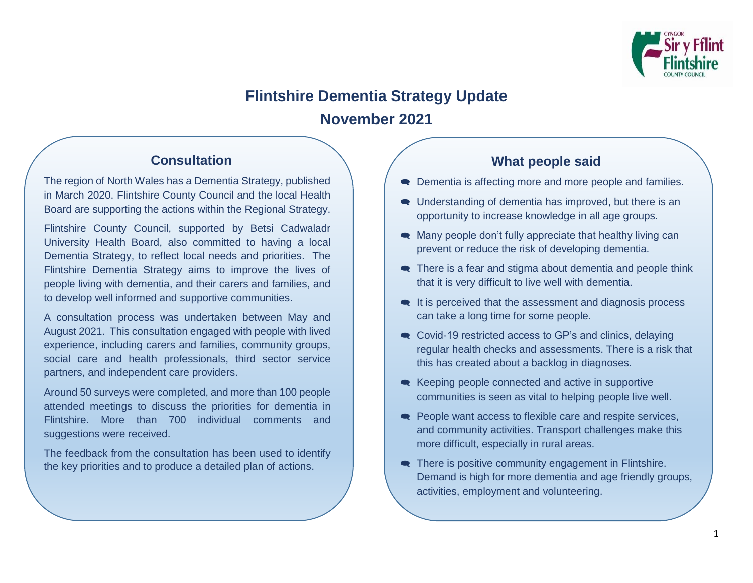

# **Flintshire Dementia Strategy Update November 2021**

# **Consultation**

The region of North Wales has a Dementia Strategy, published in March 2020. Flintshire County Council and the local Health Board are supporting the actions within the Regional Strategy.

Flintshire County Council, supported by Betsi Cadwaladr University Health Board, also committed to having a local Dementia Strategy, to reflect local needs and priorities. The Flintshire Dementia Strategy aims to improve the lives of people living with dementia, and their carers and families, and to develop well informed and supportive communities.

A consultation process was undertaken between May and August 2021. This consultation engaged with people with lived experience, including carers and families, community groups, social care and health professionals, third sector service partners, and independent care providers.

Around 50 surveys were completed, and more than 100 people attended meetings to discuss the priorities for dementia in Flintshire. More than 700 individual comments and suggestions were received.

The feedback from the consultation has been used to identify the key priorities and to produce a detailed plan of actions.

## **What people said**

- Dementia is affecting more and more people and families.
- Understanding of dementia has improved, but there is an opportunity to increase knowledge in all age groups.
- Many people don't fully appreciate that healthy living can prevent or reduce the risk of developing dementia.
- There is a fear and stigma about dementia and people think that it is very difficult to live well with dementia.
- $\bullet$  It is perceived that the assessment and diagnosis process can take a long time for some people.
- Covid-19 restricted access to GP's and clinics, delaying regular health checks and assessments. There is a risk that this has created about a backlog in diagnoses.
- **■** Keeping people connected and active in supportive communities is seen as vital to helping people live well.
- People want access to flexible care and respite services, and community activities. Transport challenges make this more difficult, especially in rural areas.
- There is positive community engagement in Flintshire. Demand is high for more dementia and age friendly groups, activities, employment and volunteering.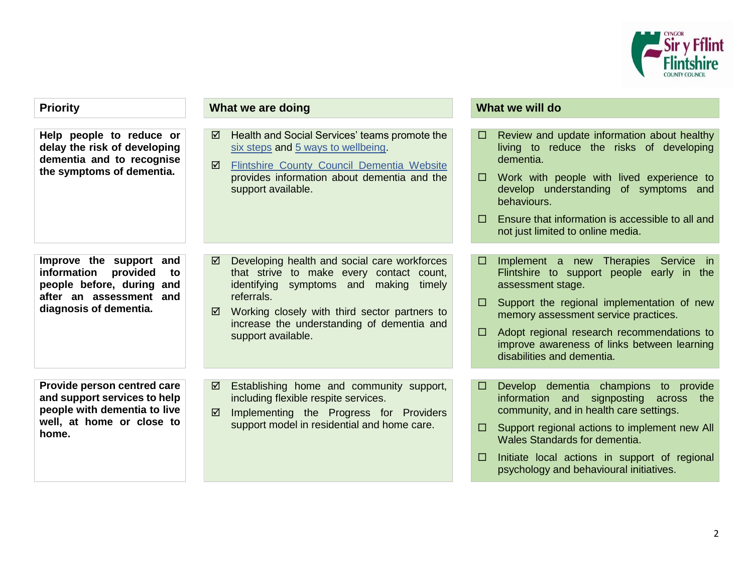

| <b>Priority</b>                                                                                                                            | What we are doing                                                                                                                                                                                                                                                               | What we will do                                                                                                                                                                                                                                                                                                                                        |
|--------------------------------------------------------------------------------------------------------------------------------------------|---------------------------------------------------------------------------------------------------------------------------------------------------------------------------------------------------------------------------------------------------------------------------------|--------------------------------------------------------------------------------------------------------------------------------------------------------------------------------------------------------------------------------------------------------------------------------------------------------------------------------------------------------|
| Help people to reduce or<br>delay the risk of developing<br>dementia and to recognise<br>the symptoms of dementia.                         | Health and Social Services' teams promote the<br>☑<br>six steps and 5 ways to wellbeing.<br>Flintshire County Council Dementia Website<br>☑<br>provides information about dementia and the<br>support available.                                                                | Review and update information about healthy<br>$\Box$<br>living to reduce the risks of developing<br>dementia.<br>Work with people with lived experience to<br>$\Box$<br>develop understanding of symptoms and<br>behaviours.<br>Ensure that information is accessible to all and<br>$\Box$<br>not just limited to online media.                       |
| Improve the support and<br>information<br>provided<br>to<br>people before, during and<br>after an assessment and<br>diagnosis of dementia. | Developing health and social care workforces<br>☑<br>that strive to make every contact count,<br>identifying symptoms and making timely<br>referrals.<br>Working closely with third sector partners to<br>☑<br>increase the understanding of dementia and<br>support available. | Implement a new Therapies Service in<br>□<br>Flintshire to support people early in the<br>assessment stage.<br>Support the regional implementation of new<br>□<br>memory assessment service practices.<br>Adopt regional research recommendations to<br>□<br>improve awareness of links between learning<br>disabilities and dementia.                 |
| Provide person centred care<br>and support services to help<br>people with dementia to live<br>well, at home or close to<br>home.          | Establishing home and community support,<br>☑<br>including flexible respite services.<br>Implementing the Progress for Providers<br>☑<br>support model in residential and home care.                                                                                            | Develop dementia champions to provide<br>$\Box$<br>information and signposting across the<br>community, and in health care settings.<br>Support regional actions to implement new All<br>□<br>Wales Standards for dementia.<br>Initiate local actions in support of regional<br>$\mathcal{L}^{\mathcal{A}}$<br>psychology and behavioural initiatives. |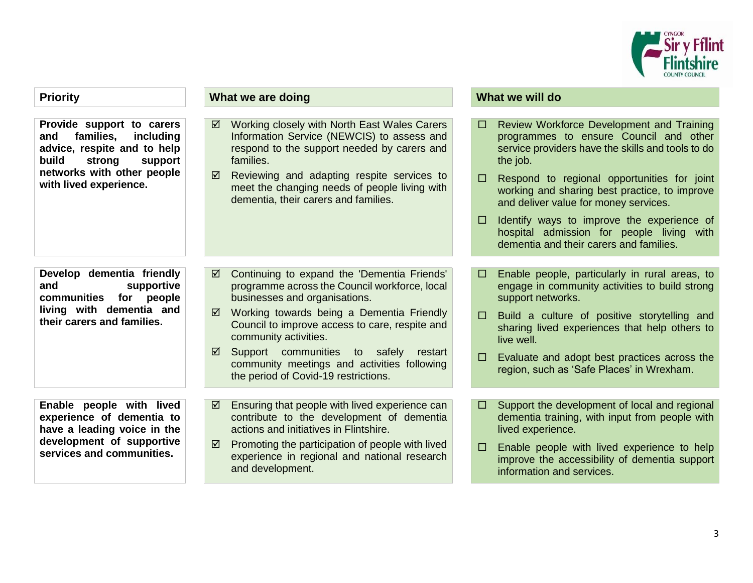

**Provide support to carers and families, including advice, respite and to help build strong support networks with other people with lived experience.**

**Develop dementia friendly and supportive communities for people living with dementia and their carers and families.**

**Enable people with lived experience of dementia to have a leading voice in the development of supportive services and communities.**

### **Priority What we are doing What we are doing What we will do**

- Working closely with North East Wales Carers Information Service (NEWCIS) to assess and respond to the support needed by carers and families.
- $\boxtimes$  Reviewing and adapting respite services to meet the changing needs of people living with dementia, their carers and families.

- Continuing to expand the 'Dementia Friends' programme across the Council workforce, local businesses and organisations.
- Working towards being a Dementia Friendly Council to improve access to care, respite and community activities.
- $\boxtimes$  Support communities to safely restart community meetings and activities following the period of Covid-19 restrictions.
- $\boxtimes$  Ensuring that people with lived experience can contribute to the development of dementia actions and initiatives in Flintshire.
- $\boxtimes$  Promoting the participation of people with lived experience in regional and national research and development.

- □ Review Workforce Development and Training programmes to ensure Council and other service providers have the skills and tools to do the job.
- $\Box$  Respond to regional opportunities for joint working and sharing best practice, to improve and deliver value for money services.
- $\Box$  Identify ways to improve the experience of hospital admission for people living with dementia and their carers and families.
- $\Box$  Enable people, particularly in rural areas, to engage in community activities to build strong support networks.
- $\Box$  Build a culture of positive storytelling and sharing lived experiences that help others to live well.
- $\Box$  Evaluate and adopt best practices across the region, such as 'Safe Places' in Wrexham.
- $\Box$  Support the development of local and regional dementia training, with input from people with lived experience.
- $\Box$  Enable people with lived experience to help improve the accessibility of dementia support information and services.